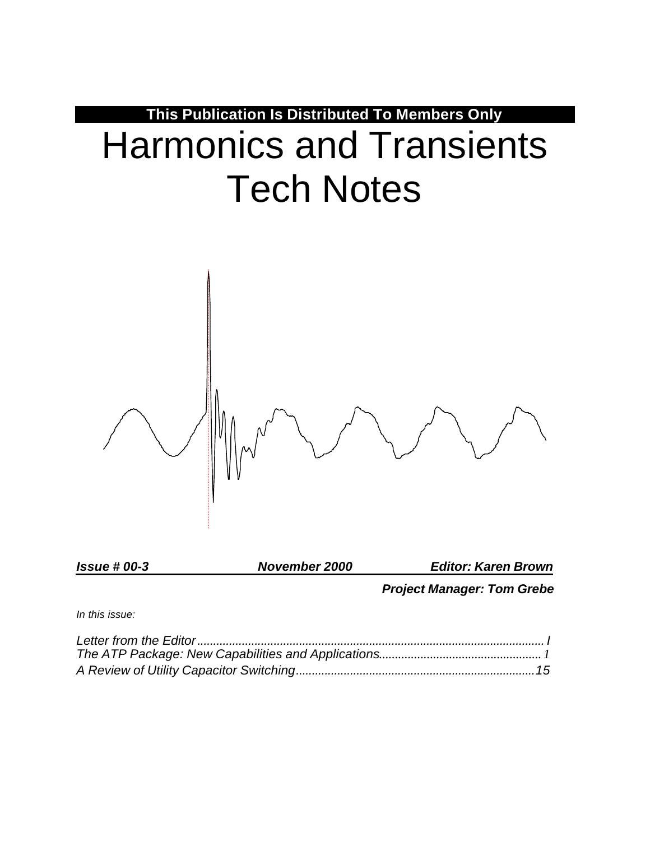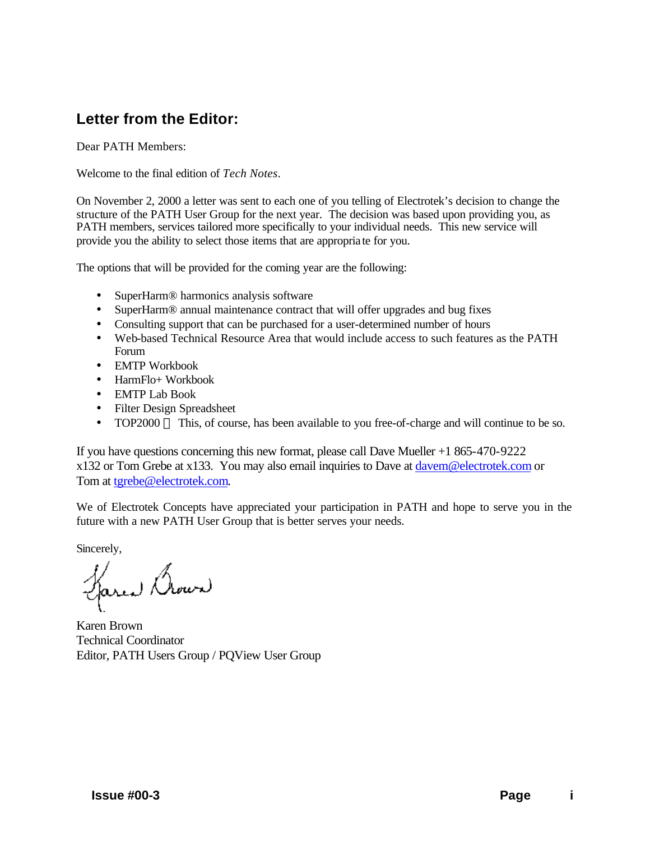# **Letter from the Editor:**

Dear PATH Members:

Welcome to the final edition of *Tech Notes*.

On November 2, 2000 a letter was sent to each one of you telling of Electrotek's decision to change the structure of the PATH User Group for the next year. The decision was based upon providing you, as PATH members, services tailored more specifically to your individual needs. This new service will provide you the ability to select those items that are appropria te for you.

The options that will be provided for the coming year are the following:

- SuperHarm<sup>®</sup> harmonics analysis software
- SuperHarm<sup>®</sup> annual maintenance contract that will offer upgrades and bug fixes
- Consulting support that can be purchased for a user-determined number of hours
- Web-based Technical Resource Area that would include access to such features as the PATH Forum
- EMTP Workbook
- HarmFlo+ Workbook
- EMTP Lab Book
- Filter Design Spreadsheet
- TOP2000 This, of course, has been available to you free-of-charge and will continue to be so.

If you have questions concerning this new format, please call Dave Mueller +1 865-470-9222 x132 or Tom Grebe at x133. You may also email inquiries to Dave at davem@electrotek.com or Tom at tgrebe@electrotek.com.

We of Electrotek Concepts have appreciated your participation in PATH and hope to serve you in the future with a new PATH User Group that is better serves your needs.

Sincerely,

Farea Bour

Karen Brown Technical Coordinator Editor, PATH Users Group / PQView User Group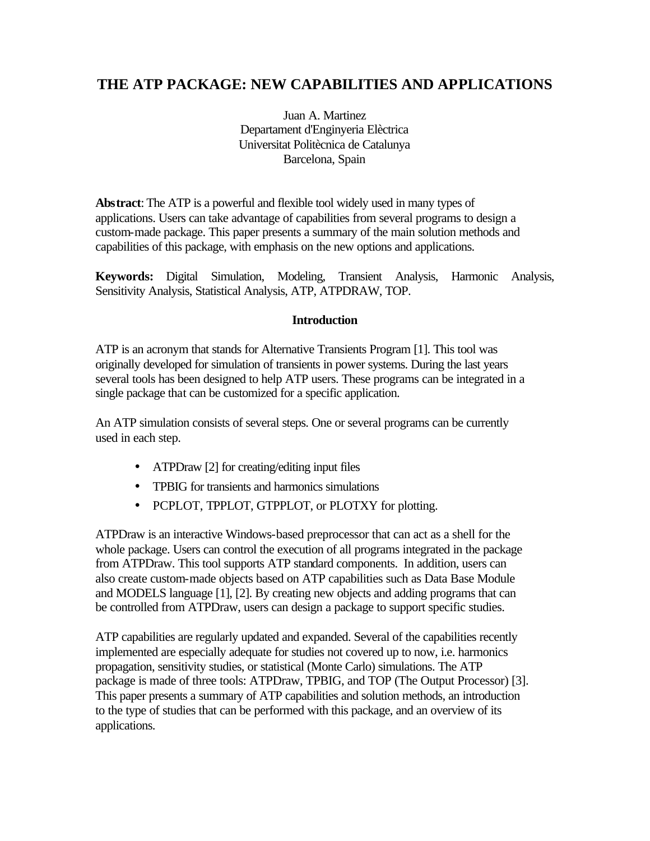# **THE ATP PACKAGE: NEW CAPABILITIES AND APPLICATIONS**

Juan A. Martinez Departament d'Enginyeria Elèctrica Universitat Politècnica de Catalunya Barcelona, Spain

**Abstract**: The ATP is a powerful and flexible tool widely used in many types of applications. Users can take advantage of capabilities from several programs to design a custom-made package. This paper presents a summary of the main solution methods and capabilities of this package, with emphasis on the new options and applications.

**Keywords:** Digital Simulation, Modeling, Transient Analysis, Harmonic Analysis, Sensitivity Analysis, Statistical Analysis, ATP, ATPDRAW, TOP.

#### **Introduction**

ATP is an acronym that stands for Alternative Transients Program [1]. This tool was originally developed for simulation of transients in power systems. During the last years several tools has been designed to help ATP users. These programs can be integrated in a single package that can be customized for a specific application.

An ATP simulation consists of several steps. One or several programs can be currently used in each step.

- ATPDraw [2] for creating/editing input files
- TPBIG for transients and harmonics simulations
- PCPLOT, TPPLOT, GTPPLOT, or PLOTXY for plotting.

ATPDraw is an interactive Windows-based preprocessor that can act as a shell for the whole package. Users can control the execution of all programs integrated in the package from ATPDraw. This tool supports ATP standard components. In addition, users can also create custom-made objects based on ATP capabilities such as Data Base Module and MODELS language [1], [2]. By creating new objects and adding programs that can be controlled from ATPDraw, users can design a package to support specific studies.

ATP capabilities are regularly updated and expanded. Several of the capabilities recently implemented are especially adequate for studies not covered up to now, i.e. harmonics propagation, sensitivity studies, or statistical (Monte Carlo) simulations. The ATP package is made of three tools: ATPDraw, TPBIG, and TOP (The Output Processor) [3]. This paper presents a summary of ATP capabilities and solution methods, an introduction to the type of studies that can be performed with this package, and an overview of its applications.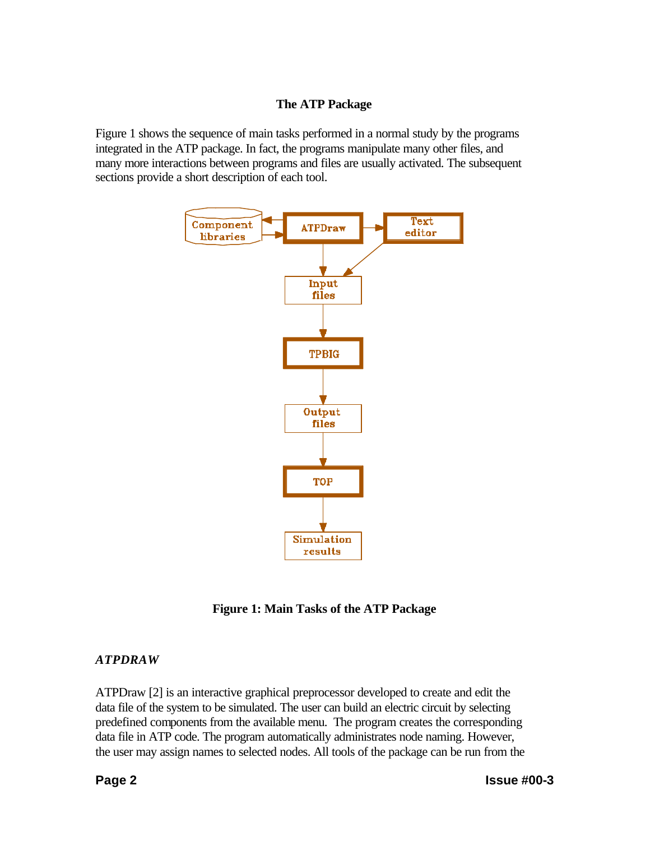### **The ATP Package**

Figure 1 shows the sequence of main tasks performed in a normal study by the programs integrated in the ATP package. In fact, the programs manipulate many other files, and many more interactions between programs and files are usually activated. The subsequent sections provide a short description of each tool.



**Figure 1: Main Tasks of the ATP Package**

# *ATPDRAW*

ATPDraw [2] is an interactive graphical preprocessor developed to create and edit the data file of the system to be simulated. The user can build an electric circuit by selecting predefined components from the available menu. The program creates the corresponding data file in ATP code. The program automatically administrates node naming. However, the user may assign names to selected nodes. All tools of the package can be run from the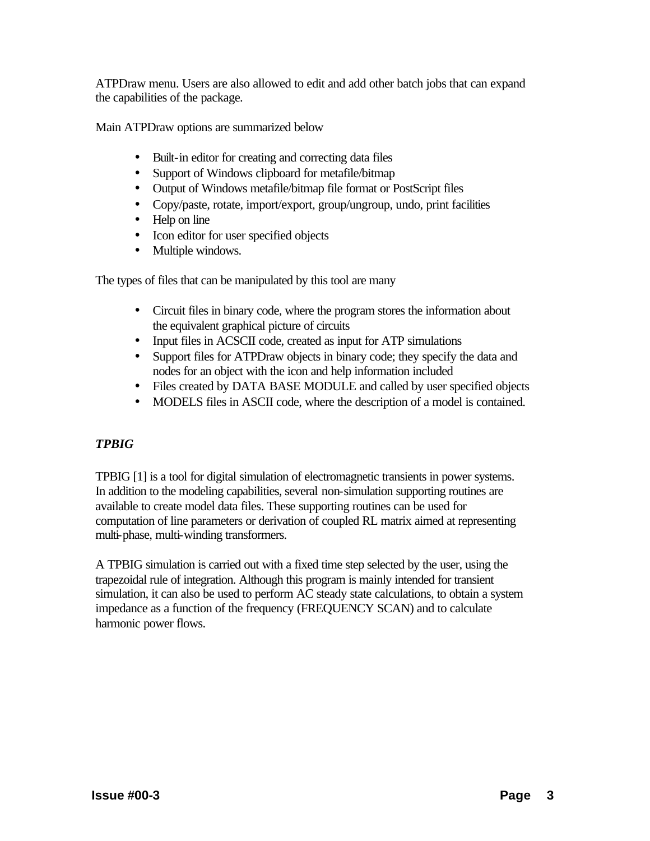ATPDraw menu. Users are also allowed to edit and add other batch jobs that can expand the capabilities of the package.

Main ATPDraw options are summarized below

- Built-in editor for creating and correcting data files
- Support of Windows clipboard for metafile/bitmap
- Output of Windows metafile/bitmap file format or PostScript files
- Copy/paste, rotate, import/export, group/ungroup, undo, print facilities
- Help on line
- Icon editor for user specified objects
- Multiple windows.

The types of files that can be manipulated by this tool are many

- Circuit files in binary code, where the program stores the information about the equivalent graphical picture of circuits
- Input files in ACSCII code, created as input for ATP simulations
- Support files for ATPDraw objects in binary code; they specify the data and nodes for an object with the icon and help information included
- Files created by DATA BASE MODULE and called by user specified objects
- MODELS files in ASCII code, where the description of a model is contained.

# *TPBIG*

TPBIG [1] is a tool for digital simulation of electromagnetic transients in power systems. In addition to the modeling capabilities, several non-simulation supporting routines are available to create model data files. These supporting routines can be used for computation of line parameters or derivation of coupled RL matrix aimed at representing multi-phase, multi-winding transformers.

A TPBIG simulation is carried out with a fixed time step selected by the user, using the trapezoidal rule of integration. Although this program is mainly intended for transient simulation, it can also be used to perform AC steady state calculations, to obtain a system impedance as a function of the frequency (FREQUENCY SCAN) and to calculate harmonic power flows.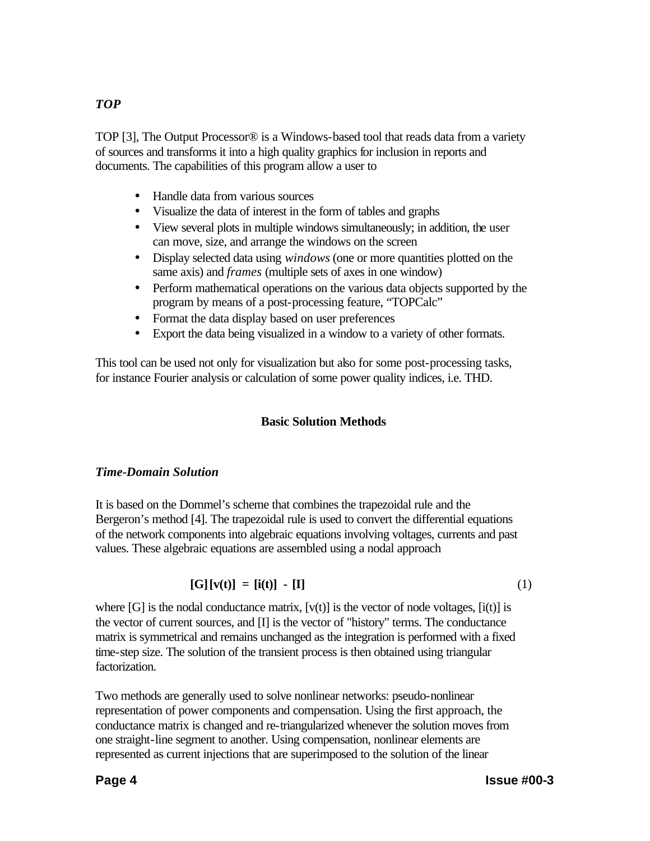## *TOP*

TOP [3], The Output Processor® is a Windows-based tool that reads data from a variety of sources and transforms it into a high quality graphics for inclusion in reports and documents. The capabilities of this program allow a user to

- Handle data from various sources
- Visualize the data of interest in the form of tables and graphs
- View several plots in multiple windows simultaneously; in addition, the user can move, size, and arrange the windows on the screen
- Display selected data using *windows* (one or more quantities plotted on the same axis) and *frames* (multiple sets of axes in one window)
- Perform mathematical operations on the various data objects supported by the program by means of a post-processing feature, "TOPCalc"
- Format the data display based on user preferences
- Export the data being visualized in a window to a variety of other formats.

This tool can be used not only for visualization but also for some post-processing tasks, for instance Fourier analysis or calculation of some power quality indices, i.e. THD.

### **Basic Solution Methods**

#### *Time-Domain Solution*

It is based on the Dommel's scheme that combines the trapezoidal rule and the Bergeron's method [4]. The trapezoidal rule is used to convert the differential equations of the network components into algebraic equations involving voltages, currents and past values. These algebraic equations are assembled using a nodal approach

$$
[\mathbf{G}][\mathbf{v}(t)] = [\mathbf{i}(t)] - [\mathbf{I}] \tag{1}
$$

where  $[G]$  is the nodal conductance matrix,  $[v(t)]$  is the vector of node voltages,  $[i(t)]$  is the vector of current sources, and [I] is the vector of "history" terms. The conductance matrix is symmetrical and remains unchanged as the integration is performed with a fixed time-step size. The solution of the transient process is then obtained using triangular factorization.

Two methods are generally used to solve nonlinear networks: pseudo-nonlinear representation of power components and compensation. Using the first approach, the conductance matrix is changed and re-triangularized whenever the solution moves from one straight-line segment to another. Using compensation, nonlinear elements are represented as current injections that are superimposed to the solution of the linear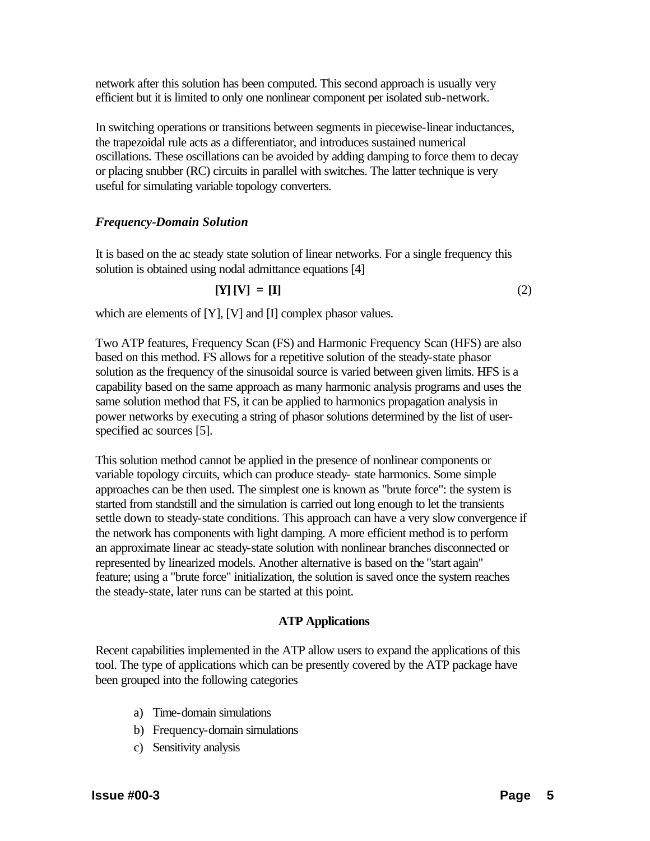network after this solution has been computed. This second approach is usually very efficient but it is limited to only one nonlinear component per isolated sub-network.

In switching operations or transitions between segments in piecewise-linear inductances, the trapezoidal rule acts as a differentiator, and introduces sustained numerical oscillations. These oscillations can be avoided by adding damping to force them to decay or placing snubber (RC) circuits in parallel with switches. The latter technique is very useful for simulating variable topology converters.

### *Frequency-Domain Solution*

It is based on the ac steady state solution of linear networks. For a single frequency this solution is obtained using nodal admittance equations [4]

$$
[\mathbf{Y}][\mathbf{V}] = [\mathbf{I}] \tag{2}
$$

which are elements of [Y], [V] and [I] complex phasor values.

Two ATP features, Frequency Scan (FS) and Harmonic Frequency Scan (HFS) are also based on this method. FS allows for a repetitive solution of the steady-state phasor solution as the frequency of the sinusoidal source is varied between given limits. HFS is a capability based on the same approach as many harmonic analysis programs and uses the same solution method that FS, it can be applied to harmonics propagation analysis in power networks by executing a string of phasor solutions determined by the list of userspecified ac sources [5].

This solution method cannot be applied in the presence of nonlinear components or variable topology circuits, which can produce steady- state harmonics. Some simple approaches can be then used. The simplest one is known as "brute force": the system is started from standstill and the simulation is carried out long enough to let the transients settle down to steady-state conditions. This approach can have a very slow convergence if the network has components with light damping. A more efficient method is to perform an approximate linear ac steady-state solution with nonlinear branches disconnected or represented by linearized models. Another alternative is based on the "start again" feature; using a "brute force" initialization, the solution is saved once the system reaches the steady-state, later runs can be started at this point.

### **ATP Applications**

Recent capabilities implemented in the ATP allow users to expand the applications of this tool. The type of applications which can be presently covered by the ATP package have been grouped into the following categories

- a) Time-domain simulations
- b) Frequency-domain simulations
- c) Sensitivity analysis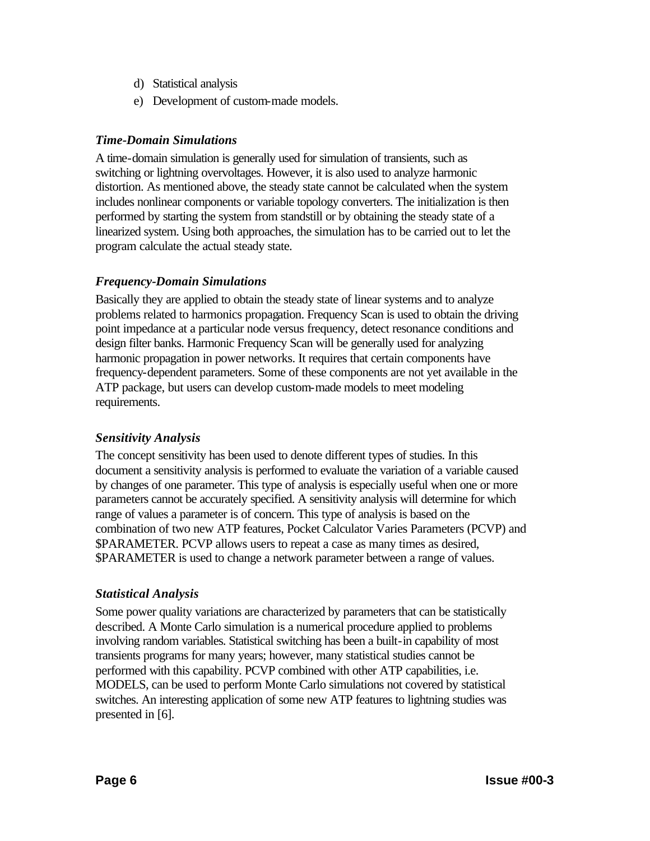- d) Statistical analysis
- e) Development of custom-made models.

### *Time-Domain Simulations*

A time-domain simulation is generally used for simulation of transients, such as switching or lightning overvoltages. However, it is also used to analyze harmonic distortion. As mentioned above, the steady state cannot be calculated when the system includes nonlinear components or variable topology converters. The initialization is then performed by starting the system from standstill or by obtaining the steady state of a linearized system. Using both approaches, the simulation has to be carried out to let the program calculate the actual steady state.

# *Frequency-Domain Simulations*

Basically they are applied to obtain the steady state of linear systems and to analyze problems related to harmonics propagation. Frequency Scan is used to obtain the driving point impedance at a particular node versus frequency, detect resonance conditions and design filter banks. Harmonic Frequency Scan will be generally used for analyzing harmonic propagation in power networks. It requires that certain components have frequency-dependent parameters. Some of these components are not yet available in the ATP package, but users can develop custom-made models to meet modeling requirements.

# *Sensitivity Analysis*

The concept sensitivity has been used to denote different types of studies. In this document a sensitivity analysis is performed to evaluate the variation of a variable caused by changes of one parameter. This type of analysis is especially useful when one or more parameters cannot be accurately specified. A sensitivity analysis will determine for which range of values a parameter is of concern. This type of analysis is based on the combination of two new ATP features, Pocket Calculator Varies Parameters (PCVP) and \$PARAMETER. PCVP allows users to repeat a case as many times as desired, \$PARAMETER is used to change a network parameter between a range of values.

# *Statistical Analysis*

Some power quality variations are characterized by parameters that can be statistically described. A Monte Carlo simulation is a numerical procedure applied to problems involving random variables. Statistical switching has been a built-in capability of most transients programs for many years; however, many statistical studies cannot be performed with this capability. PCVP combined with other ATP capabilities, i.e. MODELS, can be used to perform Monte Carlo simulations not covered by statistical switches. An interesting application of some new ATP features to lightning studies was presented in [6].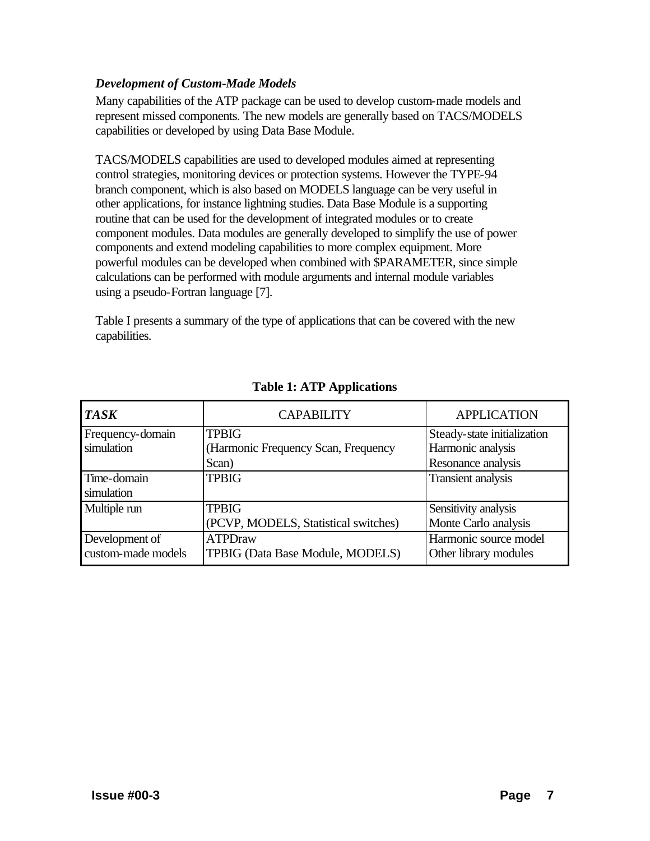### *Development of Custom-Made Models*

Many capabilities of the ATP package can be used to develop custom-made models and represent missed components. The new models are generally based on TACS/MODELS capabilities or developed by using Data Base Module.

TACS/MODELS capabilities are used to developed modules aimed at representing control strategies, monitoring devices or protection systems. However the TYPE-94 branch component, which is also based on MODELS language can be very useful in other applications, for instance lightning studies. Data Base Module is a supporting routine that can be used for the development of integrated modules or to create component modules. Data modules are generally developed to simplify the use of power components and extend modeling capabilities to more complex equipment. More powerful modules can be developed when combined with \$PARAMETER, since simple calculations can be performed with module arguments and internal module variables using a pseudo-Fortran language [7].

Table I presents a summary of the type of applications that can be covered with the new capabilities.

| <b>TASK</b>                          | <b>CAPABILITY</b>                                            | <b>APPLICATION</b>                                                     |  |
|--------------------------------------|--------------------------------------------------------------|------------------------------------------------------------------------|--|
| Frequency-domain<br>simulation       | <b>TPBIG</b><br>(Harmonic Frequency Scan, Frequency<br>Scan) | Steady-state initialization<br>Harmonic analysis<br>Resonance analysis |  |
| Time-domain<br>simulation            | <b>TPBIG</b>                                                 | Transient analysis                                                     |  |
| Multiple run                         | <b>TPBIG</b><br>(PCVP, MODELS, Statistical switches)         | Sensitivity analysis<br>Monte Carlo analysis                           |  |
| Development of<br>custom-made models | <b>ATPDraw</b><br>TPBIG (Data Base Module, MODELS)           | Harmonic source model<br>Other library modules                         |  |

**Table 1: ATP Applications**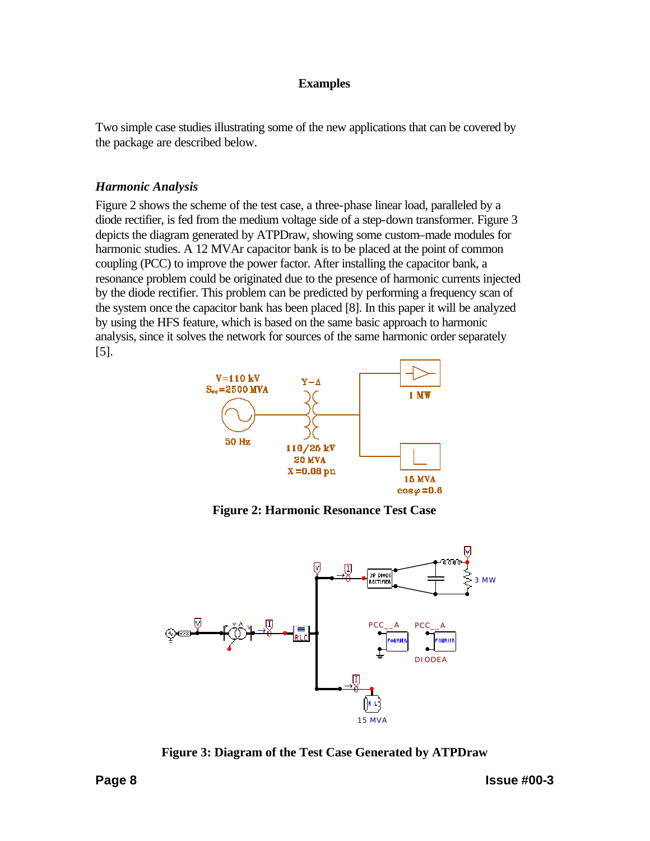#### **Examples**

Two simple case studies illustrating some of the new applications that can be covered by the package are described below.

#### *Harmonic Analysis*

Figure 2 shows the scheme of the test case, a three-phase linear load, paralleled by a diode rectifier, is fed from the medium voltage side of a step-down transformer. Figure 3 depicts the diagram generated by ATPDraw, showing some custom–made modules for harmonic studies. A 12 MVAr capacitor bank is to be placed at the point of common coupling (PCC) to improve the power factor. After installing the capacitor bank, a resonance problem could be originated due to the presence of harmonic currents injected by the diode rectifier. This problem can be predicted by performing a frequency scan of the system once the capacitor bank has been placed [8]. In this paper it will be analyzed by using the HFS feature, which is based on the same basic approach to harmonic analysis, since it solves the network for sources of the same harmonic order separately [5].



**Figure 2: Harmonic Resonance Test Case**



**Figure 3: Diagram of the Test Case Generated by ATPDraw**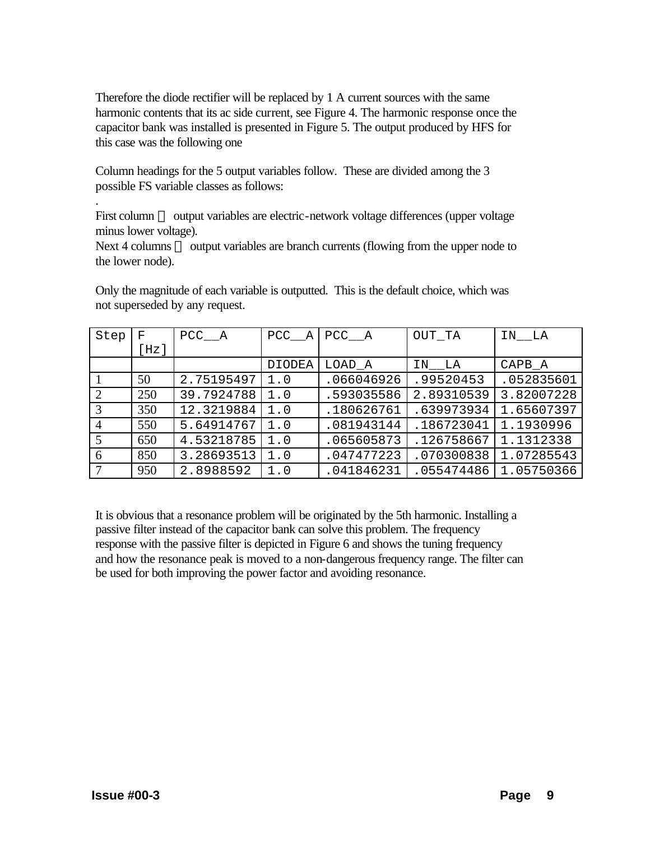Therefore the diode rectifier will be replaced by 1 A current sources with the same harmonic contents that its ac side current, see Figure 4. The harmonic response once the capacitor bank was installed is presented in Figure 5. The output produced by HFS for this case was the following one

Column headings for the 5 output variables follow. These are divided among the 3 possible FS variable classes as follows:

First column — output variables are electric-network voltage differences (upper voltage minus lower voltage).

Next 4 columns — output variables are branch currents (flowing from the upper node to the lower node).

Only the magnitude of each variable is outputted. This is the default choice, which was not superseded by any request.

| Step           | F      | PCC A      | PCC A         | PCC A      | OUT TA     | $IN$ <sub>__</sub> LA |
|----------------|--------|------------|---------------|------------|------------|-----------------------|
|                | [ Hz ] |            |               |            |            |                       |
|                |        |            | <b>DIODEA</b> | LOAD A     | IN LA      | CAPB A                |
|                | 50     | 2.75195497 | 1.0           | .066046926 | .99520453  | .052835601            |
| 2              | 250    | 39.7924788 | 1.0           | .593035586 | 2.89310539 | 3.82007228            |
| 3              | 350    | 12.3219884 | 1.0           | .180626761 | .639973934 | 1.65607397            |
| $\overline{4}$ | 550    | 5.64914767 | 1.0           | .081943144 | .186723041 | 1.1930996             |
| $\overline{5}$ | 650    | 4.53218785 | 1.0           | .065605873 | .126758667 | 1.1312338             |
| 6              | 850    | 3.28693513 | 1.0           | .047477223 | .070300838 | 1.07285543            |
| 7              | 950    | 2.8988592  | 1.0           | .041846231 | .055474486 | 1.05750366            |

It is obvious that a resonance problem will be originated by the 5th harmonic. Installing a passive filter instead of the capacitor bank can solve this problem. The frequency response with the passive filter is depicted in Figure 6 and shows the tuning frequency and how the resonance peak is moved to a non-dangerous frequency range. The filter can be used for both improving the power factor and avoiding resonance.

.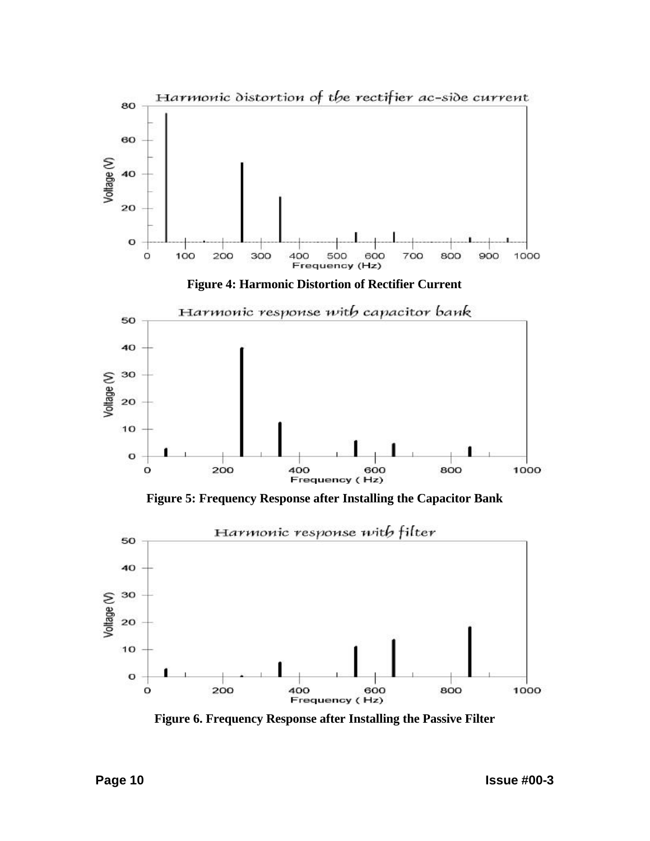





**Figure 5: Frequency Response after Installing the Capacitor Bank**



**Figure 6. Frequency Response after Installing the Passive Filter**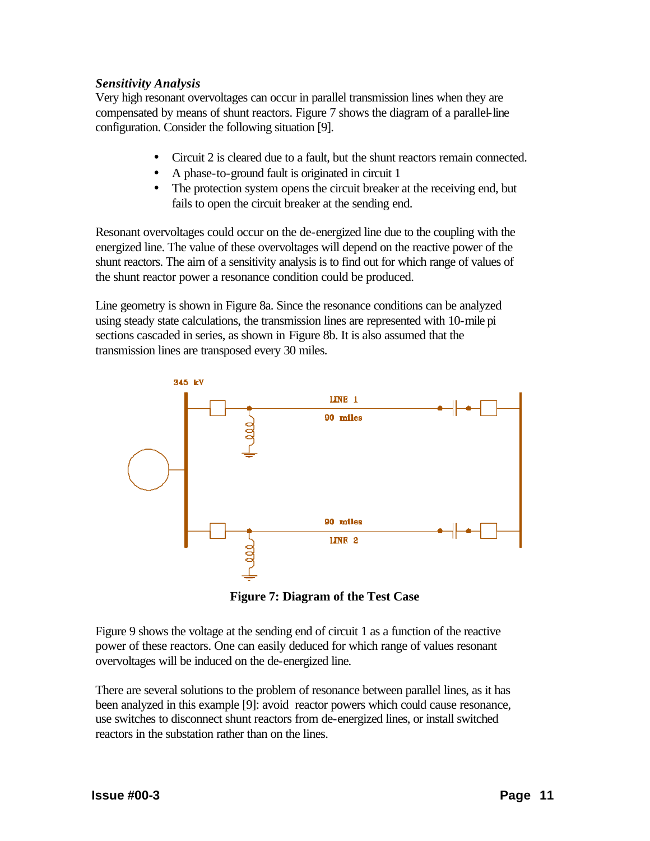### *Sensitivity Analysis*

Very high resonant overvoltages can occur in parallel transmission lines when they are compensated by means of shunt reactors. Figure 7 shows the diagram of a parallel-line configuration. Consider the following situation [9].

- Circuit 2 is cleared due to a fault, but the shunt reactors remain connected.
- A phase-to-ground fault is originated in circuit 1
- The protection system opens the circuit breaker at the receiving end, but fails to open the circuit breaker at the sending end.

Resonant overvoltages could occur on the de-energized line due to the coupling with the energized line. The value of these overvoltages will depend on the reactive power of the shunt reactors. The aim of a sensitivity analysis is to find out for which range of values of the shunt reactor power a resonance condition could be produced.

Line geometry is shown in Figure 8a. Since the resonance conditions can be analyzed using steady state calculations, the transmission lines are represented with 10-mile pi sections cascaded in series, as shown in Figure 8b. It is also assumed that the transmission lines are transposed every 30 miles.



**Figure 7: Diagram of the Test Case**

Figure 9 shows the voltage at the sending end of circuit 1 as a function of the reactive power of these reactors. One can easily deduced for which range of values resonant overvoltages will be induced on the de-energized line.

There are several solutions to the problem of resonance between parallel lines, as it has been analyzed in this example [9]: avoid reactor powers which could cause resonance, use switches to disconnect shunt reactors from de-energized lines, or install switched reactors in the substation rather than on the lines.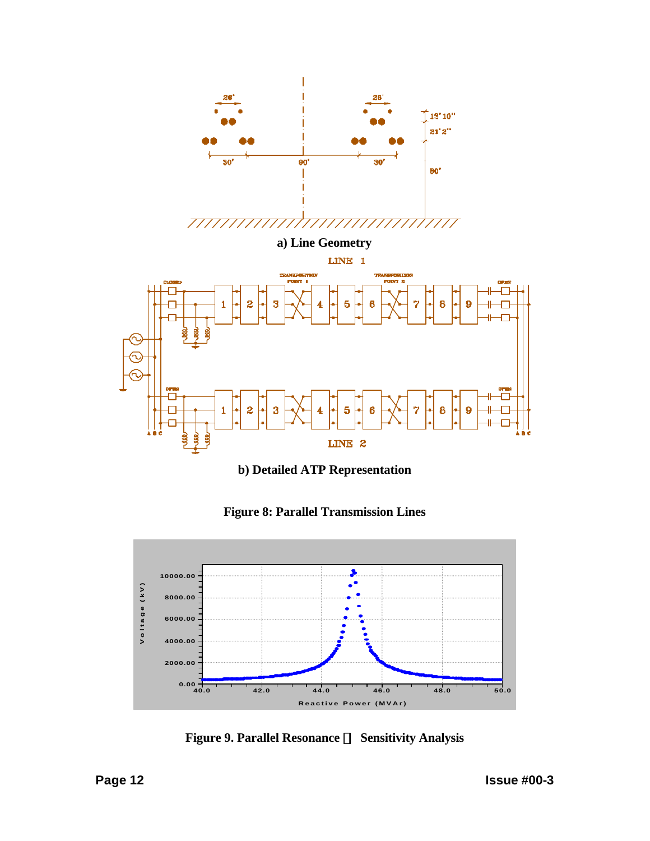

**b) Detailed ATP Representation**

**Figure 8: Parallel Transmission Lines**



**Figure 9. Parallel Resonance ¾ Sensitivity Analysis**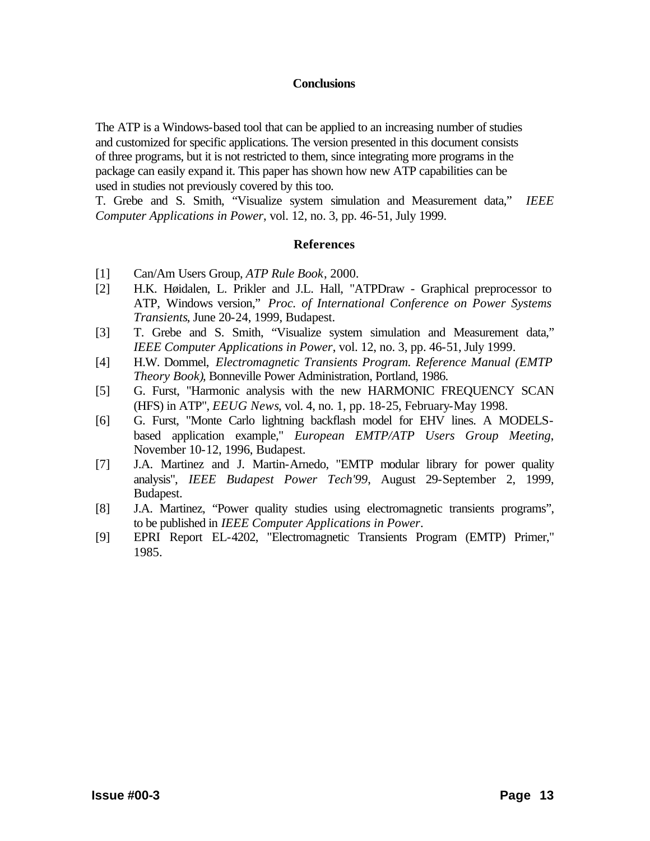#### **Conclusions**

The ATP is a Windows-based tool that can be applied to an increasing number of studies and customized for specific applications. The version presented in this document consists of three programs, but it is not restricted to them, since integrating more programs in the package can easily expand it. This paper has shown how new ATP capabilities can be used in studies not previously covered by this too.

T. Grebe and S. Smith, "Visualize system simulation and Measurement data," *IEEE Computer Applications in Power*, vol. 12, no. 3, pp. 46-51, July 1999.

#### **References**

- [1] Can/Am Users Group, *ATP Rule Book*, 2000.
- [2] H.K. Høidalen, L. Prikler and J.L. Hall, "ATPDraw Graphical preprocessor to ATP, Windows version," *Proc. of International Conference on Power Systems Transients*, June 20-24, 1999, Budapest.
- [3] T. Grebe and S. Smith, "Visualize system simulation and Measurement data," *IEEE Computer Applications in Power*, vol. 12, no. 3, pp. 46-51, July 1999.
- [4] H.W. Dommel, *Electromagnetic Transients Program. Reference Manual (EMTP Theory Book)*, Bonneville Power Administration, Portland, 1986.
- [5] G. Furst, "Harmonic analysis with the new HARMONIC FREQUENCY SCAN (HFS) in ATP", *EEUG News*, vol. 4, no. 1, pp. 18-25, February-May 1998.
- [6] G. Furst, "Monte Carlo lightning backflash model for EHV lines. A MODELSbased application example," *European EMTP/ATP Users Group Meeting*, November 10-12, 1996, Budapest.
- [7] J.A. Martinez and J. Martin-Arnedo, "EMTP modular library for power quality analysis", *IEEE Budapest Power Tech'99*, August 29-September 2, 1999, Budapest.
- [8] J.A. Martinez, "Power quality studies using electromagnetic transients programs", to be published in *IEEE Computer Applications in Power*.
- [9] EPRI Report EL-4202, "Electromagnetic Transients Program (EMTP) Primer," 1985.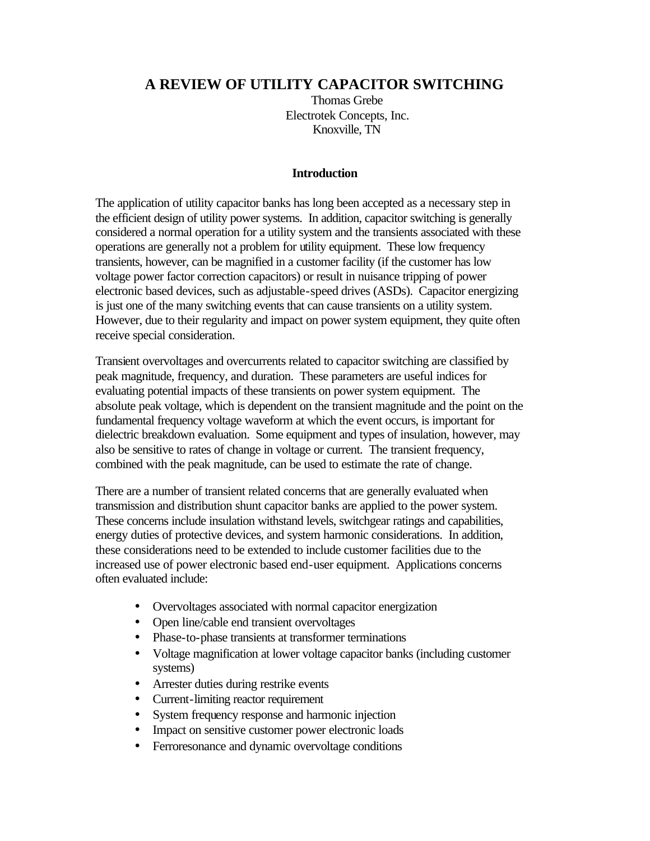# **A REVIEW OF UTILITY CAPACITOR SWITCHING**

Thomas Grebe Electrotek Concepts, Inc. Knoxville, TN

#### **Introduction**

The application of utility capacitor banks has long been accepted as a necessary step in the efficient design of utility power systems. In addition, capacitor switching is generally considered a normal operation for a utility system and the transients associated with these operations are generally not a problem for utility equipment. These low frequency transients, however, can be magnified in a customer facility (if the customer has low voltage power factor correction capacitors) or result in nuisance tripping of power electronic based devices, such as adjustable-speed drives (ASDs). Capacitor energizing is just one of the many switching events that can cause transients on a utility system. However, due to their regularity and impact on power system equipment, they quite often receive special consideration.

Transient overvoltages and overcurrents related to capacitor switching are classified by peak magnitude, frequency, and duration. These parameters are useful indices for evaluating potential impacts of these transients on power system equipment. The absolute peak voltage, which is dependent on the transient magnitude and the point on the fundamental frequency voltage waveform at which the event occurs, is important for dielectric breakdown evaluation. Some equipment and types of insulation, however, may also be sensitive to rates of change in voltage or current. The transient frequency, combined with the peak magnitude, can be used to estimate the rate of change.

There are a number of transient related concerns that are generally evaluated when transmission and distribution shunt capacitor banks are applied to the power system. These concerns include insulation withstand levels, switchgear ratings and capabilities, energy duties of protective devices, and system harmonic considerations. In addition, these considerations need to be extended to include customer facilities due to the increased use of power electronic based end-user equipment. Applications concerns often evaluated include:

- Overvoltages associated with normal capacitor energization
- Open line/cable end transient overvoltages
- Phase-to-phase transients at transformer terminations
- Voltage magnification at lower voltage capacitor banks (including customer systems)
- Arrester duties during restrike events
- Current-limiting reactor requirement
- System frequency response and harmonic injection
- Impact on sensitive customer power electronic loads
- Ferroresonance and dynamic overvoltage conditions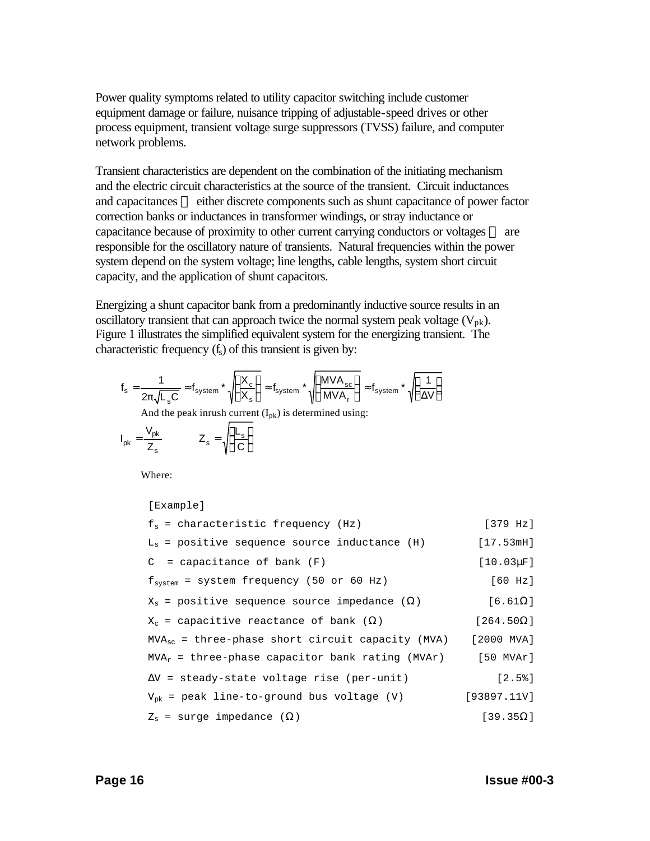Power quality symptoms related to utility capacitor switching include customer equipment damage or failure, nuisance tripping of adjustable-speed drives or other process equipment, transient voltage surge suppressors (TVSS) failure, and computer network problems.

Transient characteristics are dependent on the combination of the initiating mechanism and the electric circuit characteristics at the source of the transient. Circuit inductances and capacitances — either discrete components such as shunt capacitance of power factor correction banks or inductances in transformer windings, or stray inductance or capacitance because of proximity to other current carrying conductors or voltages — are responsible for the oscillatory nature of transients. Natural frequencies within the power system depend on the system voltage; line lengths, cable lengths, system short circuit capacity, and the application of shunt capacitors.

Energizing a shunt capacitor bank from a predominantly inductive source results in an oscillatory transient that can approach twice the normal system peak voltage  $(V_{pk})$ . Figure 1 illustrates the simplified equivalent system for the energizing transient. The characteristic frequency  $(f_s)$  of this transient is given by:

$$
f_s = \frac{1}{2\pi \sqrt{L_s C}} \approx f_{system} * \sqrt{\left(\frac{X_c}{X_s}\right)} \approx f_{system} * \sqrt{\left(\frac{M V A_{sc}}{M V A_r}\right)} \approx f_{system} * \sqrt{\left(\frac{1}{\Delta V}\right)}
$$

And the peak inrush current  $(I_{pk})$  is determined using:

$$
I_{pk} = \frac{V_{pk}}{Z_s} \qquad Z_s = \sqrt{\left(\frac{L_s}{C}\right)}
$$

Where:

[Example]

| $f_s$ = characteristic frequency (Hz)                   | [379 Hz]                     |
|---------------------------------------------------------|------------------------------|
| $L_s$ = positive sequence source inductance (H)         | [17.53mH]                    |
| $C = capacitance of bank (F)$                           | $[10.03\mu F]$               |
| $f_{\text{system}}$ = system frequency (50 or 60 Hz)    | [60 Hz]                      |
| $X_s$ = positive sequence source impedance ( $\Omega$ ) | $[6.61\Omega]$               |
| $X_c$ = capacitive reactance of bank ( $\Omega$ )       | $[264.50 \Omega]$            |
| $NVA_{sc}$ = three-phase short circuit capacity (MVA)   | [2000 MVA]                   |
| $NVA_r$ = three-phase capacitor bank rating (MVAr)      | [50 MVAr]                    |
| $\Delta V$ = steady-state voltage rise (per-unit)       | [2.5                         |
| $V_{\text{pk}}$ = peak line-to-ground bus voltage (V)   | [93897.11V]                  |
| $Z_s$ = surge impedance ( $\Omega$ )                    | $\lceil 39.35 \Omega \rceil$ |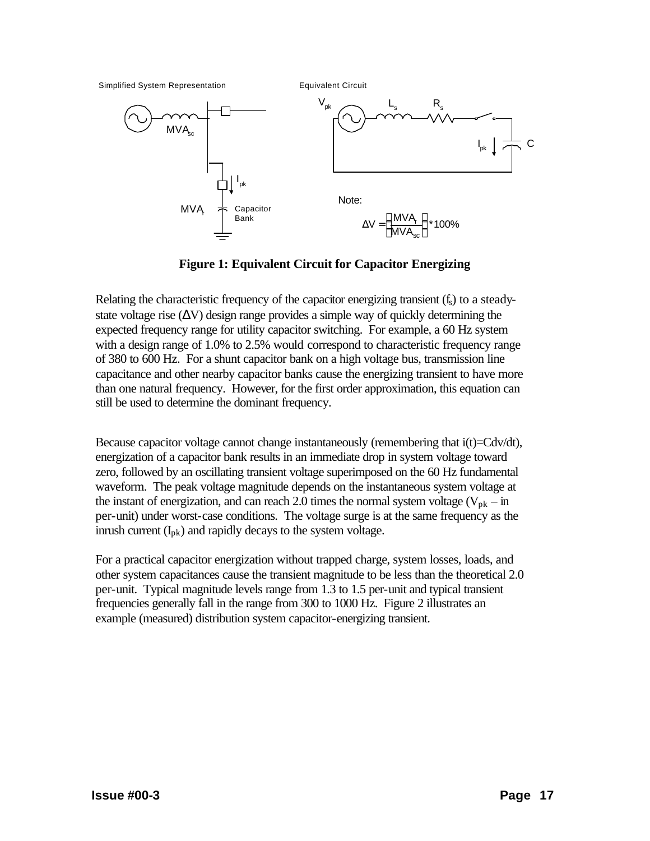Simplified System Representation

Equivalent Circuit



**Figure 1: Equivalent Circuit for Capacitor Energizing**

Relating the characteristic frequency of the capacitor energizing transient  $(f_s)$  to a steadystate voltage rise  $(\Delta V)$  design range provides a simple way of quickly determining the expected frequency range for utility capacitor switching. For example, a 60 Hz system with a design range of 1.0% to 2.5% would correspond to characteristic frequency range of 380 to 600 Hz. For a shunt capacitor bank on a high voltage bus, transmission line capacitance and other nearby capacitor banks cause the energizing transient to have more than one natural frequency. However, for the first order approximation, this equation can still be used to determine the dominant frequency.

Because capacitor voltage cannot change instantaneously (remembering that  $i(t)=Cdv/dt$ ), energization of a capacitor bank results in an immediate drop in system voltage toward zero, followed by an oscillating transient voltage superimposed on the 60 Hz fundamental waveform. The peak voltage magnitude depends on the instantaneous system voltage at the instant of energization, and can reach 2.0 times the normal system voltage  $(V_{pk} - in)$ per-unit) under worst-case conditions. The voltage surge is at the same frequency as the inrush current  $(I_{pk})$  and rapidly decays to the system voltage.

For a practical capacitor energization without trapped charge, system losses, loads, and other system capacitances cause the transient magnitude to be less than the theoretical 2.0 per-unit. Typical magnitude levels range from 1.3 to 1.5 per-unit and typical transient frequencies generally fall in the range from 300 to 1000 Hz. Figure 2 illustrates an example (measured) distribution system capacitor-energizing transient.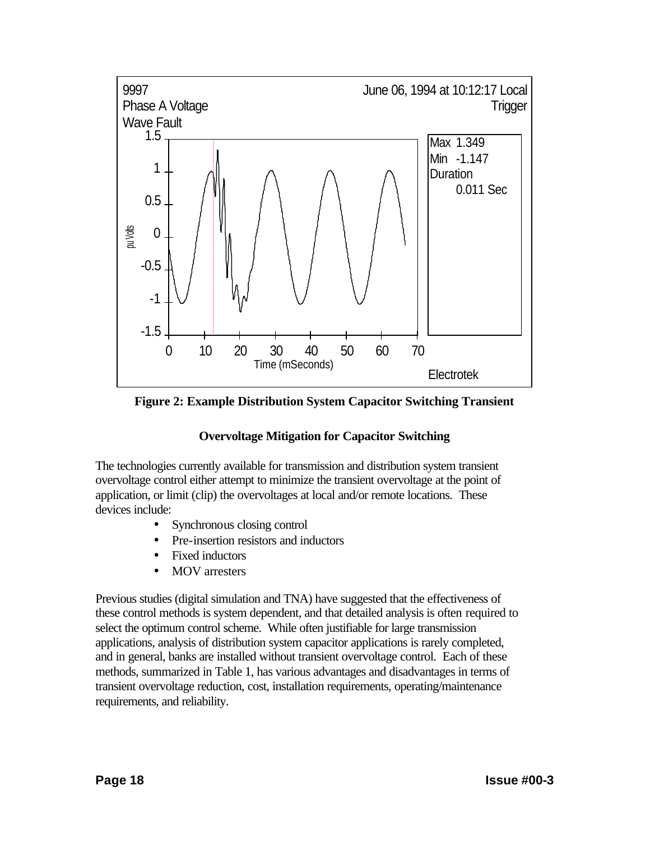

**Figure 2: Example Distribution System Capacitor Switching Transient**

#### **Overvoltage Mitigation for Capacitor Switching**

The technologies currently available for transmission and distribution system transient overvoltage control either attempt to minimize the transient overvoltage at the point of application, or limit (clip) the overvoltages at local and/or remote locations. These devices include:

- Synchronous closing control
- Pre-insertion resistors and inductors
- Fixed inductors
- MOV arresters

Previous studies (digital simulation and TNA) have suggested that the effectiveness of these control methods is system dependent, and that detailed analysis is often required to select the optimum control scheme. While often justifiable for large transmission applications, analysis of distribution system capacitor applications is rarely completed, and in general, banks are installed without transient overvoltage control. Each of these methods, summarized in Table 1, has various advantages and disadvantages in terms of transient overvoltage reduction, cost, installation requirements, operating/maintenance requirements, and reliability.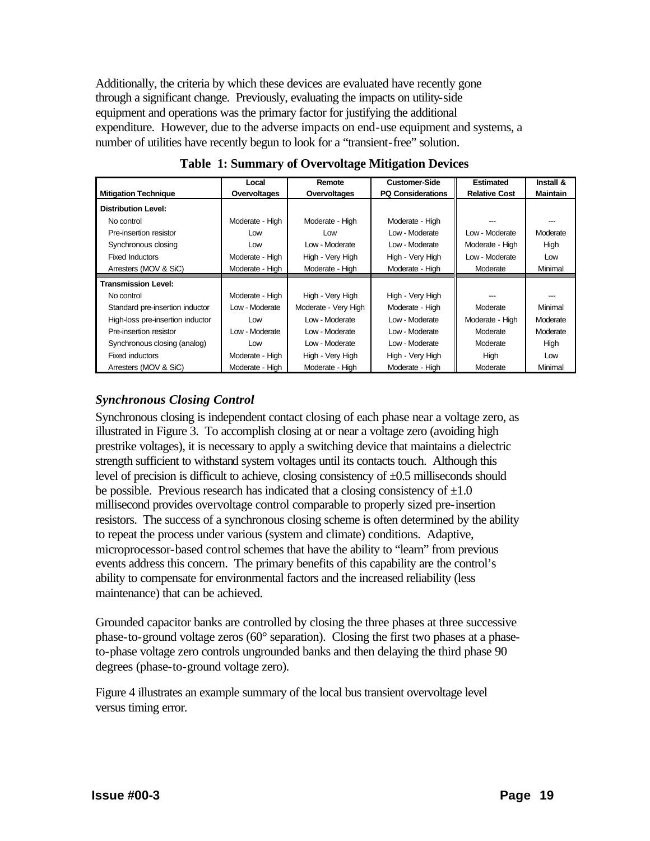Additionally, the criteria by which these devices are evaluated have recently gone through a significant change. Previously, evaluating the impacts on utility-side equipment and operations was the primary factor for justifying the additional expenditure. However, due to the adverse impacts on end-use equipment and systems, a number of utilities have recently begun to look for a "transient-free" solution.

|                                  | Local           | Remote               | <b>Customer-Side</b>     | <b>Estimated</b>     | Install &       |
|----------------------------------|-----------------|----------------------|--------------------------|----------------------|-----------------|
| <b>Mitigation Technique</b>      | Overvoltages    | Overvoltages         | <b>PQ Considerations</b> | <b>Relative Cost</b> | <b>Maintain</b> |
| <b>Distribution Level:</b>       |                 |                      |                          |                      |                 |
| No control                       | Moderate - High | Moderate - High      | Moderate - High          |                      |                 |
| Pre-insertion resistor           | Low             | Low                  | Low - Moderate           | Low - Moderate       | Moderate        |
| Synchronous closing              | Low             | Low - Moderate       | Low - Moderate           | Moderate - High      | High            |
| <b>Fixed Inductors</b>           | Moderate - High | High - Very High     | High - Very High         | Low - Moderate       | Low             |
| Arresters (MOV & SiC)            | Moderate - High | Moderate - High      | Moderate - High          | Moderate             | Minimal         |
| <b>Transmission Level:</b>       |                 |                      |                          |                      |                 |
| No control                       | Moderate - High | High - Very High     | High - Very High         |                      |                 |
| Standard pre-insertion inductor  | Low - Moderate  | Moderate - Very High | Moderate - High          | Moderate             | Minimal         |
| High-loss pre-insertion inductor | Low             | Low - Moderate       | Low - Moderate           | Moderate - High      | Moderate        |
| Pre-insertion resistor           | Low - Moderate  | Low - Moderate       | Low - Moderate           | Moderate             | Moderate        |
| Synchronous closing (analog)     | Low             | Low - Moderate       | Low - Moderate           | Moderate             | High            |
| <b>Fixed inductors</b>           | Moderate - High | High - Very High     | High - Very High         | High                 | Low             |
| Arresters (MOV & SiC)            | Moderate - High | Moderate - High      | Moderate - High          | Moderate             | Minimal         |

**Table 1: Summary of Overvoltage Mitigation Devices**

# *Synchronous Closing Control*

Synchronous closing is independent contact closing of each phase near a voltage zero, as illustrated in Figure 3. To accomplish closing at or near a voltage zero (avoiding high prestrike voltages), it is necessary to apply a switching device that maintains a dielectric strength sufficient to withstand system voltages until its contacts touch. Although this level of precision is difficult to achieve, closing consistency of  $\pm 0.5$  milliseconds should be possible. Previous research has indicated that a closing consistency of  $\pm 1.0$ millisecond provides overvoltage control comparable to properly sized pre-insertion resistors. The success of a synchronous closing scheme is often determined by the ability to repeat the process under various (system and climate) conditions. Adaptive, microprocessor-based control schemes that have the ability to "learn" from previous events address this concern. The primary benefits of this capability are the control's ability to compensate for environmental factors and the increased reliability (less maintenance) that can be achieved.

Grounded capacitor banks are controlled by closing the three phases at three successive phase-to-ground voltage zeros (60° separation). Closing the first two phases at a phaseto-phase voltage zero controls ungrounded banks and then delaying the third phase 90 degrees (phase-to-ground voltage zero).

Figure 4 illustrates an example summary of the local bus transient overvoltage level versus timing error.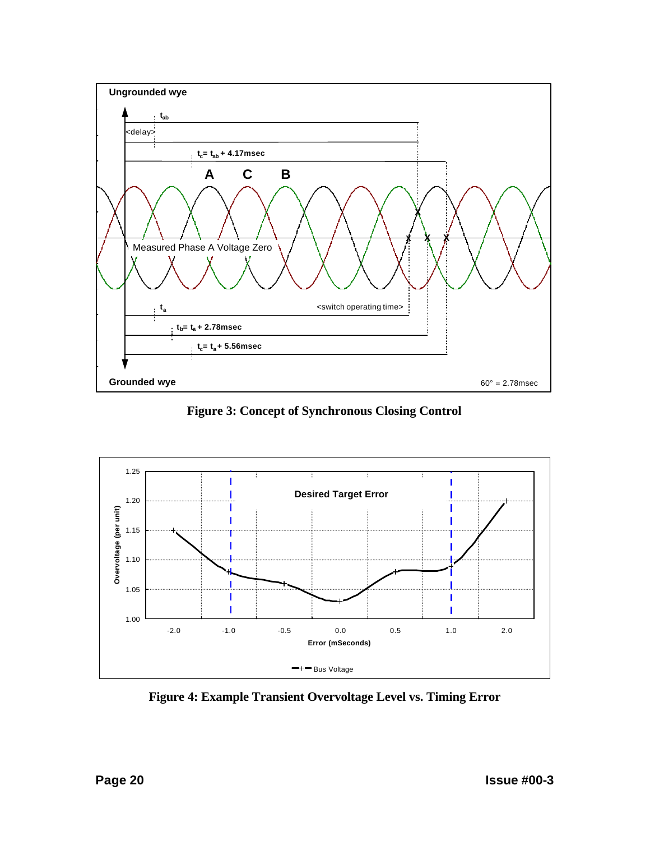

**Figure 3: Concept of Synchronous Closing Control**



**Figure 4: Example Transient Overvoltage Level vs. Timing Error**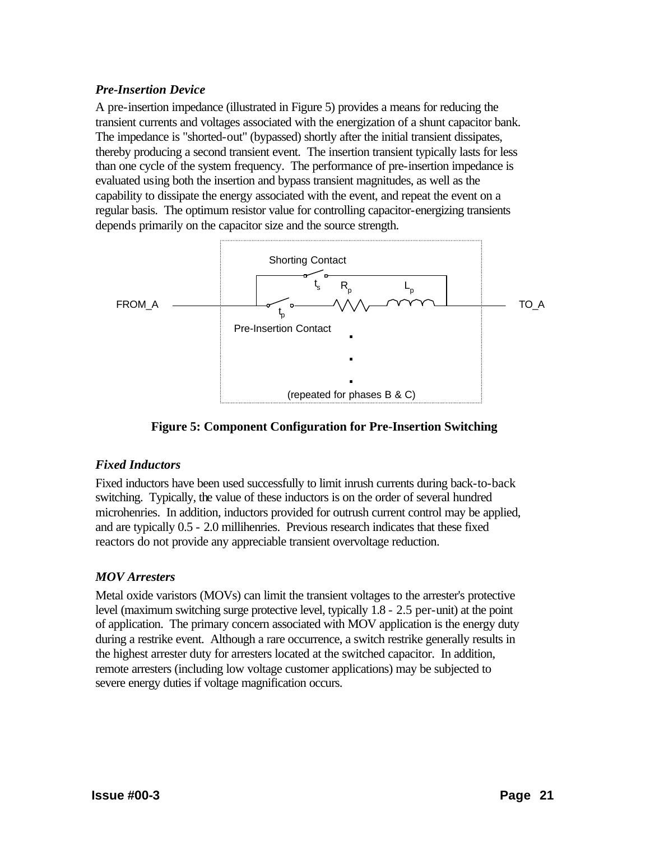## *Pre-Insertion Device*

A pre-insertion impedance (illustrated in Figure 5) provides a means for reducing the transient currents and voltages associated with the energization of a shunt capacitor bank. The impedance is "shorted-out" (bypassed) shortly after the initial transient dissipates, thereby producing a second transient event. The insertion transient typically lasts for less than one cycle of the system frequency. The performance of pre-insertion impedance is evaluated using both the insertion and bypass transient magnitudes, as well as the capability to dissipate the energy associated with the event, and repeat the event on a regular basis. The optimum resistor value for controlling capacitor-energizing transients depends primarily on the capacitor size and the source strength.



**Figure 5: Component Configuration for Pre-Insertion Switching**

# *Fixed Inductors*

Fixed inductors have been used successfully to limit inrush currents during back-to-back switching. Typically, the value of these inductors is on the order of several hundred microhenries. In addition, inductors provided for outrush current control may be applied, and are typically 0.5 - 2.0 millihenries. Previous research indicates that these fixed reactors do not provide any appreciable transient overvoltage reduction.

# *MOV Arresters*

Metal oxide varistors (MOVs) can limit the transient voltages to the arrester's protective level (maximum switching surge protective level, typically 1.8 - 2.5 per-unit) at the point of application. The primary concern associated with MOV application is the energy duty during a restrike event. Although a rare occurrence, a switch restrike generally results in the highest arrester duty for arresters located at the switched capacitor. In addition, remote arresters (including low voltage customer applications) may be subjected to severe energy duties if voltage magnification occurs.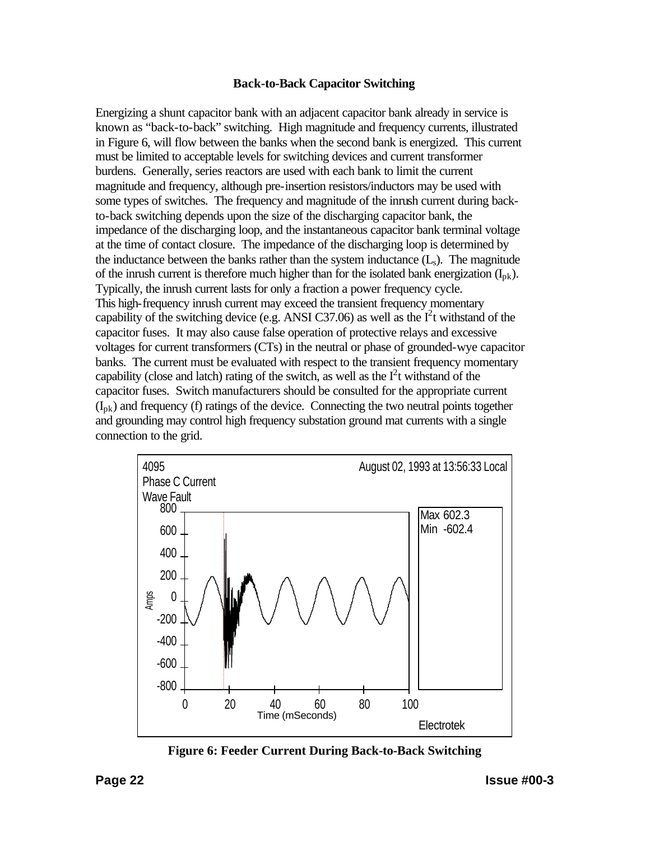#### **Back-to-Back Capacitor Switching**

Energizing a shunt capacitor bank with an adjacent capacitor bank already in service is known as "back-to-back" switching. High magnitude and frequency currents, illustrated in Figure 6, will flow between the banks when the second bank is energized. This current must be limited to acceptable levels for switching devices and current transformer burdens. Generally, series reactors are used with each bank to limit the current magnitude and frequency, although pre-insertion resistors/inductors may be used with some types of switches. The frequency and magnitude of the inrush current during backto-back switching depends upon the size of the discharging capacitor bank, the impedance of the discharging loop, and the instantaneous capacitor bank terminal voltage at the time of contact closure. The impedance of the discharging loop is determined by the inductance between the banks rather than the system inductance  $(L_s)$ . The magnitude of the inrush current is therefore much higher than for the isolated bank energization  $(I_{pk})$ . Typically, the inrush current lasts for only a fraction a power frequency cycle. This high-frequency inrush current may exceed the transient frequency momentary capability of the switching device (e.g. ANSI C37.06) as well as the  $I<sup>2</sup>$ t withstand of the capacitor fuses. It may also cause false operation of protective relays and excessive voltages for current transformers (CTs) in the neutral or phase of grounded-wye capacitor banks. The current must be evaluated with respect to the transient frequency momentary capability (close and latch) rating of the switch, as well as the  $I<sup>2</sup>t$  withstand of the capacitor fuses. Switch manufacturers should be consulted for the appropriate current  $(I_{nk})$  and frequency (f) ratings of the device. Connecting the two neutral points together and grounding may control high frequency substation ground mat currents with a single connection to the grid.



**Figure 6: Feeder Current During Back-to-Back Switching**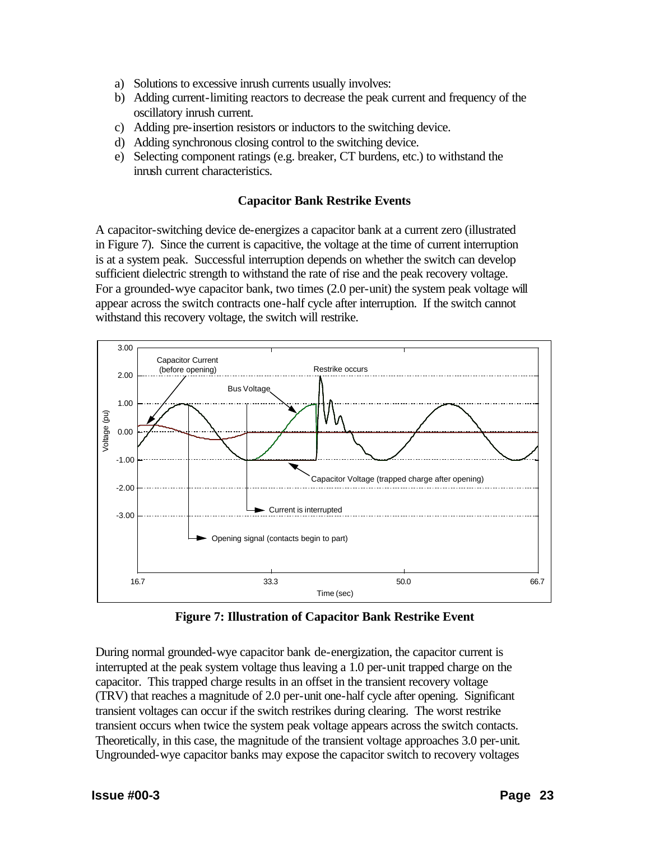- a) Solutions to excessive inrush currents usually involves:
- b) Adding current-limiting reactors to decrease the peak current and frequency of the oscillatory inrush current.
- c) Adding pre-insertion resistors or inductors to the switching device.
- d) Adding synchronous closing control to the switching device.
- e) Selecting component ratings (e.g. breaker, CT burdens, etc.) to withstand the inrush current characteristics.

#### **Capacitor Bank Restrike Events**

A capacitor-switching device de-energizes a capacitor bank at a current zero (illustrated in Figure 7). Since the current is capacitive, the voltage at the time of current interruption is at a system peak. Successful interruption depends on whether the switch can develop sufficient dielectric strength to withstand the rate of rise and the peak recovery voltage. For a grounded-wye capacitor bank, two times (2.0 per-unit) the system peak voltage will appear across the switch contracts one-half cycle after interruption. If the switch cannot withstand this recovery voltage, the switch will restrike.



**Figure 7: Illustration of Capacitor Bank Restrike Event**

During normal grounded-wye capacitor bank de-energization, the capacitor current is interrupted at the peak system voltage thus leaving a 1.0 per-unit trapped charge on the capacitor. This trapped charge results in an offset in the transient recovery voltage (TRV) that reaches a magnitude of 2.0 per-unit one-half cycle after opening. Significant transient voltages can occur if the switch restrikes during clearing. The worst restrike transient occurs when twice the system peak voltage appears across the switch contacts. Theoretically, in this case, the magnitude of the transient voltage approaches 3.0 per-unit. Ungrounded-wye capacitor banks may expose the capacitor switch to recovery voltages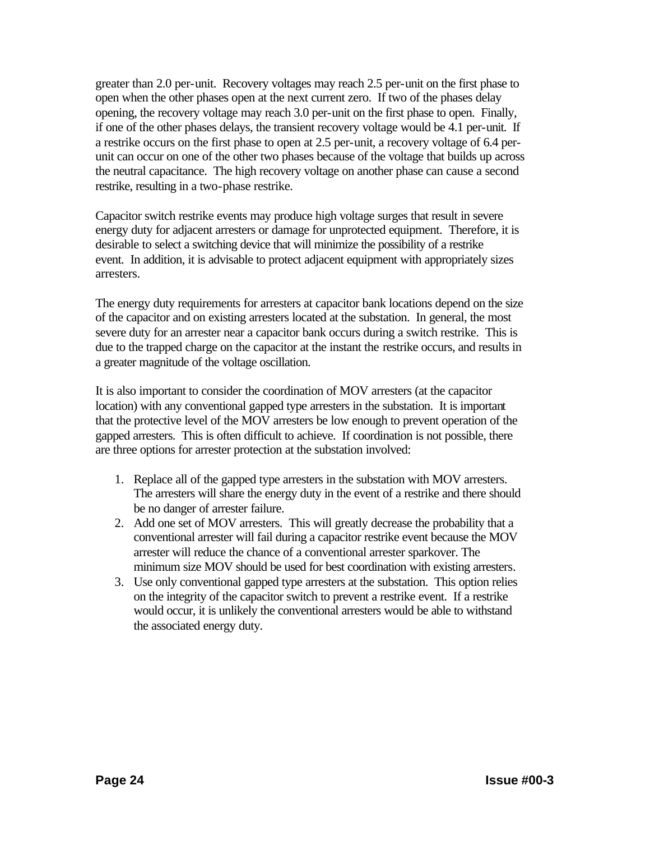greater than 2.0 per-unit. Recovery voltages may reach 2.5 per-unit on the first phase to open when the other phases open at the next current zero. If two of the phases delay opening, the recovery voltage may reach 3.0 per-unit on the first phase to open. Finally, if one of the other phases delays, the transient recovery voltage would be 4.1 per-unit. If a restrike occurs on the first phase to open at 2.5 per-unit, a recovery voltage of 6.4 perunit can occur on one of the other two phases because of the voltage that builds up across the neutral capacitance. The high recovery voltage on another phase can cause a second restrike, resulting in a two-phase restrike.

Capacitor switch restrike events may produce high voltage surges that result in severe energy duty for adjacent arresters or damage for unprotected equipment. Therefore, it is desirable to select a switching device that will minimize the possibility of a restrike event. In addition, it is advisable to protect adjacent equipment with appropriately sizes arresters.

The energy duty requirements for arresters at capacitor bank locations depend on the size of the capacitor and on existing arresters located at the substation. In general, the most severe duty for an arrester near a capacitor bank occurs during a switch restrike. This is due to the trapped charge on the capacitor at the instant the restrike occurs, and results in a greater magnitude of the voltage oscillation.

It is also important to consider the coordination of MOV arresters (at the capacitor location) with any conventional gapped type arresters in the substation. It is important that the protective level of the MOV arresters be low enough to prevent operation of the gapped arresters. This is often difficult to achieve. If coordination is not possible, there are three options for arrester protection at the substation involved:

- 1. Replace all of the gapped type arresters in the substation with MOV arresters. The arresters will share the energy duty in the event of a restrike and there should be no danger of arrester failure.
- 2. Add one set of MOV arresters. This will greatly decrease the probability that a conventional arrester will fail during a capacitor restrike event because the MOV arrester will reduce the chance of a conventional arrester sparkover. The minimum size MOV should be used for best coordination with existing arresters.
- 3. Use only conventional gapped type arresters at the substation. This option relies on the integrity of the capacitor switch to prevent a restrike event. If a restrike would occur, it is unlikely the conventional arresters would be able to withstand the associated energy duty.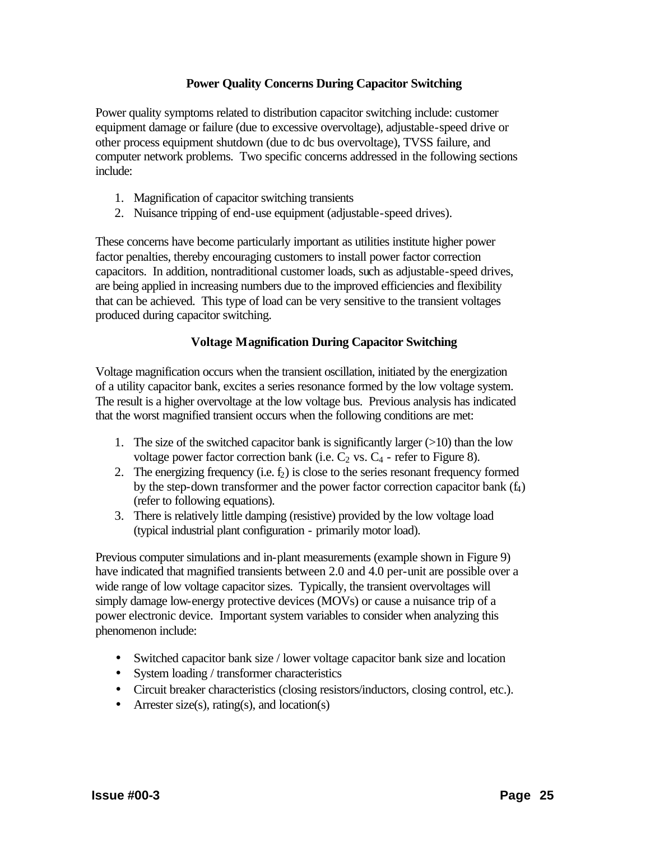#### **Power Quality Concerns During Capacitor Switching**

Power quality symptoms related to distribution capacitor switching include: customer equipment damage or failure (due to excessive overvoltage), adjustable-speed drive or other process equipment shutdown (due to dc bus overvoltage), TVSS failure, and computer network problems. Two specific concerns addressed in the following sections include:

- 1. Magnification of capacitor switching transients
- 2. Nuisance tripping of end-use equipment (adjustable-speed drives).

These concerns have become particularly important as utilities institute higher power factor penalties, thereby encouraging customers to install power factor correction capacitors. In addition, nontraditional customer loads, such as adjustable-speed drives, are being applied in increasing numbers due to the improved efficiencies and flexibility that can be achieved. This type of load can be very sensitive to the transient voltages produced during capacitor switching.

### **Voltage Magnification During Capacitor Switching**

Voltage magnification occurs when the transient oscillation, initiated by the energization of a utility capacitor bank, excites a series resonance formed by the low voltage system. The result is a higher overvoltage at the low voltage bus. Previous analysis has indicated that the worst magnified transient occurs when the following conditions are met:

- 1. The size of the switched capacitor bank is significantly larger (>10) than the low voltage power factor correction bank (i.e.  $C_2$  vs.  $C_4$  - refer to Figure 8).
- 2. The energizing frequency (i.e.  $f_2$ ) is close to the series resonant frequency formed by the step-down transformer and the power factor correction capacitor bank  $(f_4)$ (refer to following equations).
- 3. There is relatively little damping (resistive) provided by the low voltage load (typical industrial plant configuration - primarily motor load).

Previous computer simulations and in-plant measurements (example shown in Figure 9) have indicated that magnified transients between 2.0 and 4.0 per-unit are possible over a wide range of low voltage capacitor sizes. Typically, the transient overvoltages will simply damage low-energy protective devices (MOVs) or cause a nuisance trip of a power electronic device. Important system variables to consider when analyzing this phenomenon include:

- Switched capacitor bank size / lower voltage capacitor bank size and location
- System loading / transformer characteristics
- Circuit breaker characteristics (closing resistors/inductors, closing control, etc.).
- Arrester size(s), rating(s), and location(s)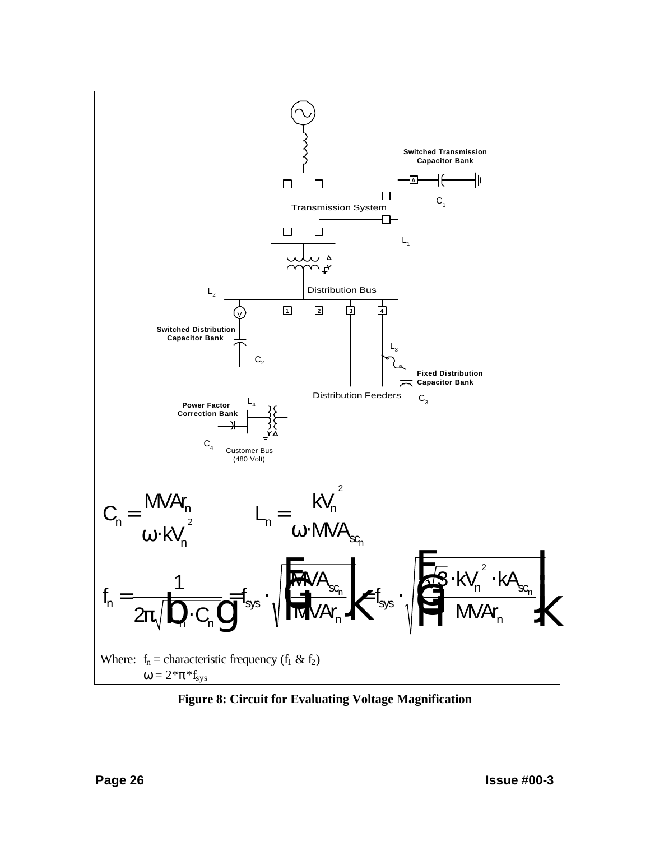

**Figure 8: Circuit for Evaluating Voltage Magnification**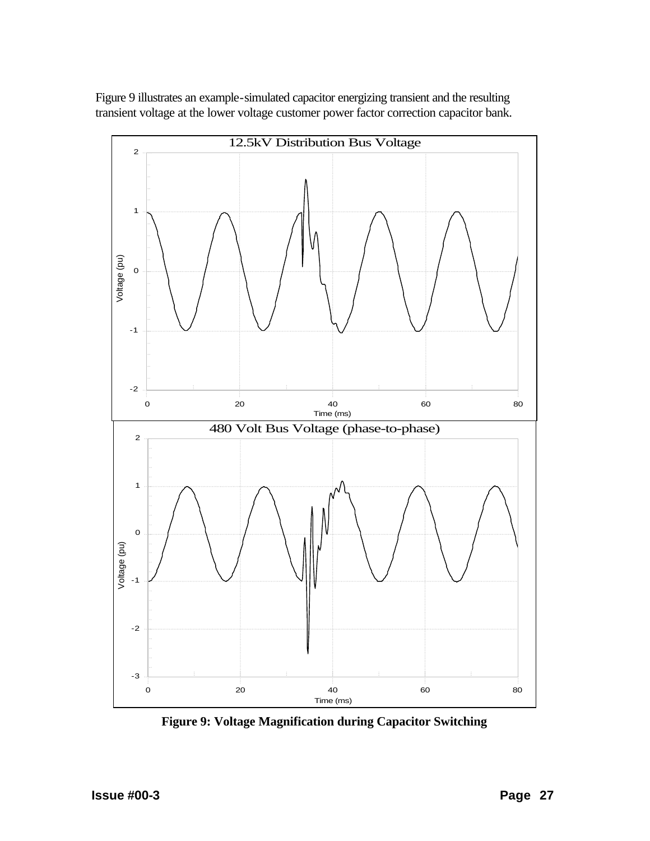Figure 9 illustrates an example-simulated capacitor energizing transient and the resulting transient voltage at the lower voltage customer power factor correction capacitor bank.



**Figure 9: Voltage Magnification during Capacitor Switching**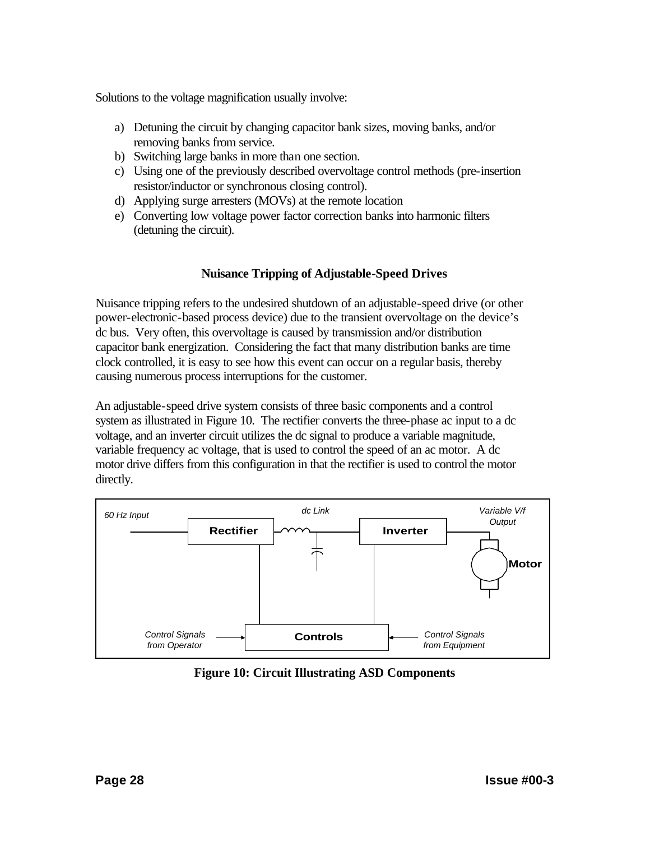Solutions to the voltage magnification usually involve:

- a) Detuning the circuit by changing capacitor bank sizes, moving banks, and/or removing banks from service.
- b) Switching large banks in more than one section.
- c) Using one of the previously described overvoltage control methods (pre-insertion resistor/inductor or synchronous closing control).
- d) Applying surge arresters (MOVs) at the remote location
- e) Converting low voltage power factor correction banks into harmonic filters (detuning the circuit).

### **Nuisance Tripping of Adjustable-Speed Drives**

Nuisance tripping refers to the undesired shutdown of an adjustable-speed drive (or other power-electronic-based process device) due to the transient overvoltage on the device's dc bus. Very often, this overvoltage is caused by transmission and/or distribution capacitor bank energization. Considering the fact that many distribution banks are time clock controlled, it is easy to see how this event can occur on a regular basis, thereby causing numerous process interruptions for the customer.

An adjustable-speed drive system consists of three basic components and a control system as illustrated in Figure 10. The rectifier converts the three-phase ac input to a dc voltage, and an inverter circuit utilizes the dc signal to produce a variable magnitude, variable frequency ac voltage, that is used to control the speed of an ac motor. A dc motor drive differs from this configuration in that the rectifier is used to control the motor directly.



**Figure 10: Circuit Illustrating ASD Components**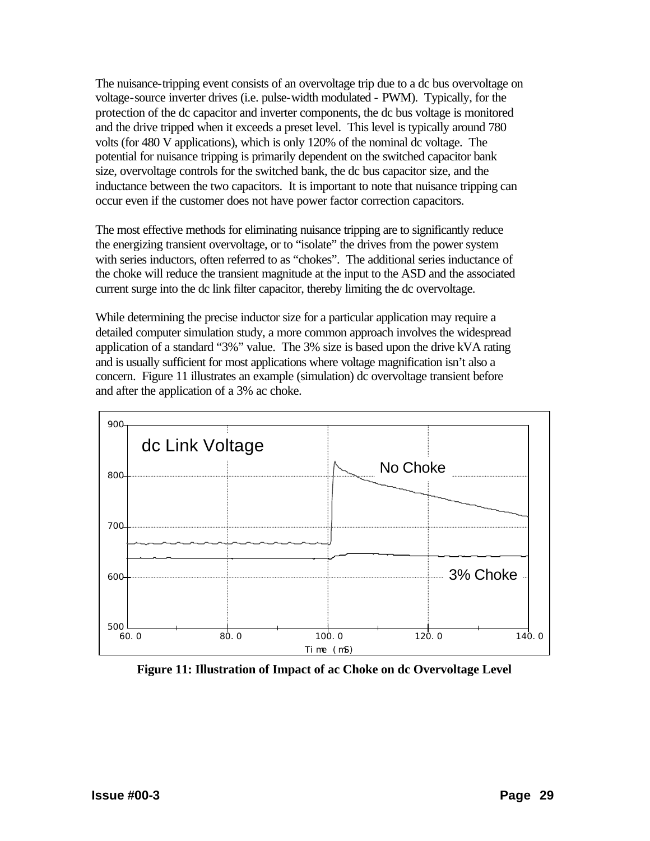The nuisance-tripping event consists of an overvoltage trip due to a dc bus overvoltage on voltage-source inverter drives (i.e. pulse-width modulated - PWM). Typically, for the protection of the dc capacitor and inverter components, the dc bus voltage is monitored and the drive tripped when it exceeds a preset level. This level is typically around 780 volts (for 480 V applications), which is only 120% of the nominal dc voltage. The potential for nuisance tripping is primarily dependent on the switched capacitor bank size, overvoltage controls for the switched bank, the dc bus capacitor size, and the inductance between the two capacitors. It is important to note that nuisance tripping can occur even if the customer does not have power factor correction capacitors.

The most effective methods for eliminating nuisance tripping are to significantly reduce the energizing transient overvoltage, or to "isolate" the drives from the power system with series inductors, often referred to as "chokes". The additional series inductance of the choke will reduce the transient magnitude at the input to the ASD and the associated current surge into the dc link filter capacitor, thereby limiting the dc overvoltage.

While determining the precise inductor size for a particular application may require a detailed computer simulation study, a more common approach involves the widespread application of a standard "3%" value. The 3% size is based upon the drive kVA rating and is usually sufficient for most applications where voltage magnification isn't also a concern. Figure 11 illustrates an example (simulation) dc overvoltage transient before and after the application of a 3% ac choke.



**Figure 11: Illustration of Impact of ac Choke on dc Overvoltage Level**